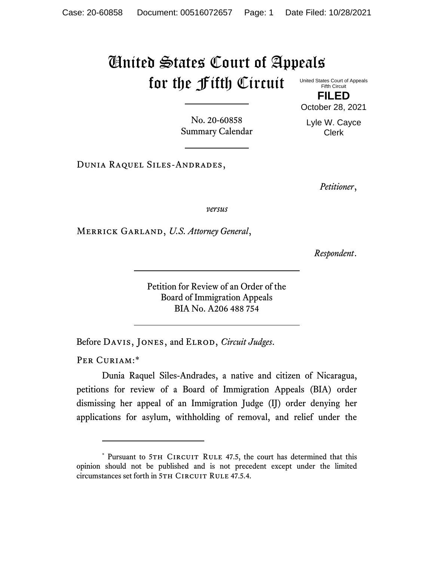## United States Court of Appeals for the Fifth Circuit

United States Court of Appeals Fifth Circuit **FILED**

October 28, 2021

No. 20-60858 Summary Calendar

Lyle W. Cayce Clerk

Dunia Raquel Siles-Andrades,

*Petitioner*,

*versus*

Merrick Garland, *U.S. Attorney General*,

*Respondent*.

Petition for Review of an Order of the Board of Immigration Appeals BIA No. A206 488 754

Before Davis, Jones, and Elrod, *Circuit Judges*.

PER CURIAM:\*

Dunia Raquel Siles-Andrades, a native and citizen of Nicaragua, petitions for review of a Board of Immigration Appeals (BIA) order dismissing her appeal of an Immigration Judge (IJ) order denying her applications for asylum, withholding of removal, and relief under the

<sup>\*</sup> Pursuant to 5TH CIRCUIT RULE 47.5, the court has determined that this opinion should not be published and is not precedent except under the limited circumstances set forth in 5TH CIRCUIT RULE 47.5.4.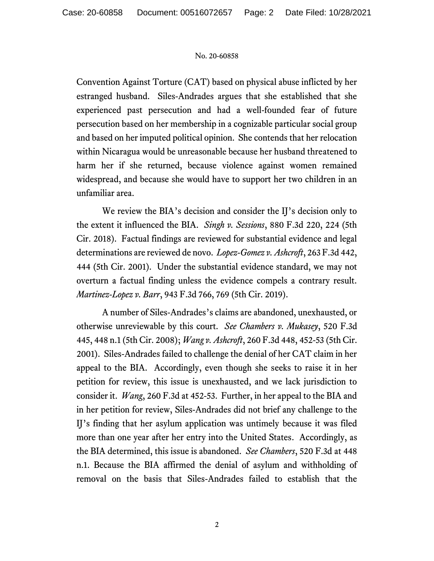## No. 20-60858

Convention Against Torture (CAT) based on physical abuse inflicted by her estranged husband. Siles-Andrades argues that she established that she experienced past persecution and had a well-founded fear of future persecution based on her membership in a cognizable particular social group and based on her imputed political opinion. She contends that her relocation within Nicaragua would be unreasonable because her husband threatened to harm her if she returned, because violence against women remained widespread, and because she would have to support her two children in an unfamiliar area.

We review the BIA's decision and consider the IJ's decision only to the extent it influenced the BIA. *Singh v. Sessions*, 880 F.3d 220, 224 (5th Cir. 2018). Factual findings are reviewed for substantial evidence and legal determinations are reviewed de novo. *Lopez-Gomez v. Ashcroft*, 263 F.3d 442, 444 (5th Cir. 2001). Under the substantial evidence standard, we may not overturn a factual finding unless the evidence compels a contrary result. *Martinez-Lopez v. Barr*, 943 F.3d 766, 769 (5th Cir. 2019).

A number of Siles-Andrades's claims are abandoned, unexhausted, or otherwise unreviewable by this court. *See Chambers v. Mukasey*, 520 F.3d 445, 448 n.1 (5th Cir. 2008); *Wang v. Ashcroft*, 260 F.3d 448, 452-53 (5th Cir. 2001). Siles-Andrades failed to challenge the denial of her CAT claim in her appeal to the BIA. Accordingly, even though she seeks to raise it in her petition for review, this issue is unexhausted, and we lack jurisdiction to consider it. *Wang*, 260 F.3d at 452-53. Further, in her appeal to the BIA and in her petition for review, Siles-Andrades did not brief any challenge to the IJ's finding that her asylum application was untimely because it was filed more than one year after her entry into the United States. Accordingly, as the BIA determined, this issue is abandoned. *See Chambers*, 520 F.3d at 448 n.1. Because the BIA affirmed the denial of asylum and withholding of removal on the basis that Siles-Andrades failed to establish that the